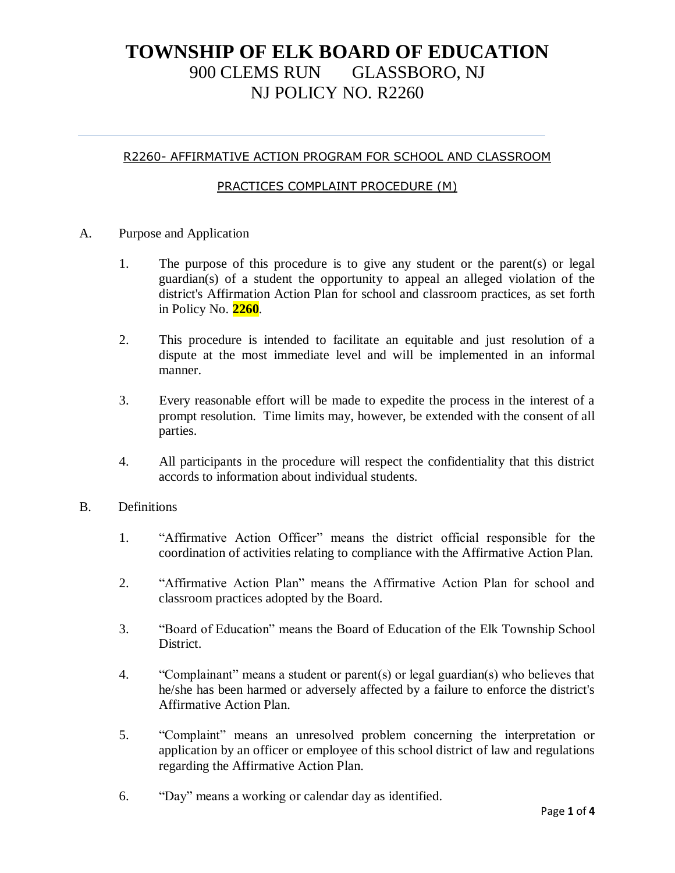#### R2260- AFFIRMATIVE ACTION PROGRAM FOR SCHOOL AND CLASSROOM

#### PRACTICES COMPLAINT PROCEDURE (M)

- A. Purpose and Application
	- 1. The purpose of this procedure is to give any student or the parent(s) or legal guardian(s) of a student the opportunity to appeal an alleged violation of the district's Affirmation Action Plan for school and classroom practices, as set forth in Policy No. **2260**.
	- 2. This procedure is intended to facilitate an equitable and just resolution of a dispute at the most immediate level and will be implemented in an informal manner.
	- 3. Every reasonable effort will be made to expedite the process in the interest of a prompt resolution. Time limits may, however, be extended with the consent of all parties.
	- 4. All participants in the procedure will respect the confidentiality that this district accords to information about individual students.

#### B. Definitions

- 1. "Affirmative Action Officer" means the district official responsible for the coordination of activities relating to compliance with the Affirmative Action Plan.
- 2. "Affirmative Action Plan" means the Affirmative Action Plan for school and classroom practices adopted by the Board.
- 3. "Board of Education" means the Board of Education of the Elk Township School District.
- 4. "Complainant" means a student or parent(s) or legal guardian(s) who believes that he/she has been harmed or adversely affected by a failure to enforce the district's Affirmative Action Plan.
- 5. "Complaint" means an unresolved problem concerning the interpretation or application by an officer or employee of this school district of law and regulations regarding the Affirmative Action Plan.
- 6. "Day" means a working or calendar day as identified.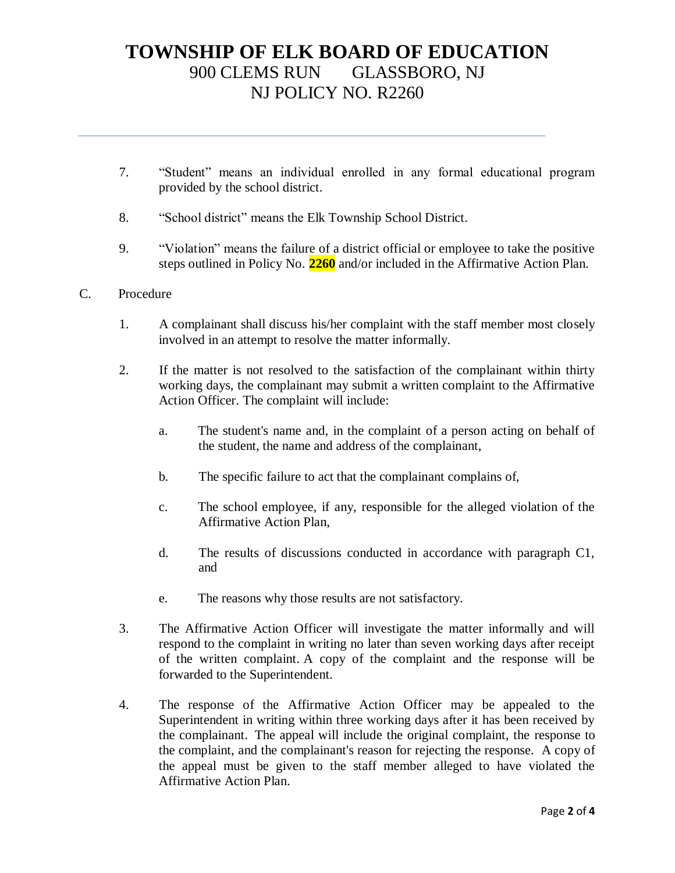- 7. "Student" means an individual enrolled in any formal educational program provided by the school district.
- 8. "School district" means the Elk Township School District.
- 9. "Violation" means the failure of a district official or employee to take the positive steps outlined in Policy No. **2260** and/or included in the Affirmative Action Plan.
- C. Procedure
	- 1. A complainant shall discuss his/her complaint with the staff member most closely involved in an attempt to resolve the matter informally.
	- 2. If the matter is not resolved to the satisfaction of the complainant within thirty working days, the complainant may submit a written complaint to the Affirmative Action Officer. The complaint will include:
		- a. The student's name and, in the complaint of a person acting on behalf of the student, the name and address of the complainant,
		- b. The specific failure to act that the complainant complains of,
		- c. The school employee, if any, responsible for the alleged violation of the Affirmative Action Plan,
		- d. The results of discussions conducted in accordance with paragraph C1, and
		- e. The reasons why those results are not satisfactory.
	- 3. The Affirmative Action Officer will investigate the matter informally and will respond to the complaint in writing no later than seven working days after receipt of the written complaint. A copy of the complaint and the response will be forwarded to the Superintendent.
	- 4. The response of the Affirmative Action Officer may be appealed to the Superintendent in writing within three working days after it has been received by the complainant. The appeal will include the original complaint, the response to the complaint, and the complainant's reason for rejecting the response. A copy of the appeal must be given to the staff member alleged to have violated the Affirmative Action Plan.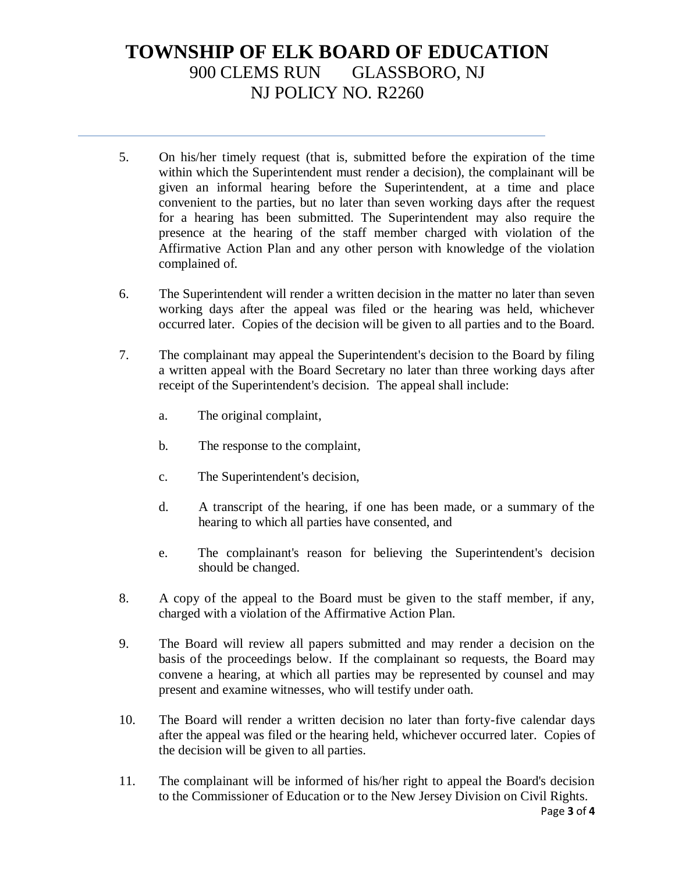- 5. On his/her timely request (that is, submitted before the expiration of the time within which the Superintendent must render a decision), the complainant will be given an informal hearing before the Superintendent, at a time and place convenient to the parties, but no later than seven working days after the request for a hearing has been submitted. The Superintendent may also require the presence at the hearing of the staff member charged with violation of the Affirmative Action Plan and any other person with knowledge of the violation complained of.
- 6. The Superintendent will render a written decision in the matter no later than seven working days after the appeal was filed or the hearing was held, whichever occurred later. Copies of the decision will be given to all parties and to the Board.
- 7. The complainant may appeal the Superintendent's decision to the Board by filing a written appeal with the Board Secretary no later than three working days after receipt of the Superintendent's decision. The appeal shall include:
	- a. The original complaint,
	- b. The response to the complaint,
	- c. The Superintendent's decision,
	- d. A transcript of the hearing, if one has been made, or a summary of the hearing to which all parties have consented, and
	- e. The complainant's reason for believing the Superintendent's decision should be changed.
- 8. A copy of the appeal to the Board must be given to the staff member, if any, charged with a violation of the Affirmative Action Plan.
- 9. The Board will review all papers submitted and may render a decision on the basis of the proceedings below. If the complainant so requests, the Board may convene a hearing, at which all parties may be represented by counsel and may present and examine witnesses, who will testify under oath.
- 10. The Board will render a written decision no later than forty-five calendar days after the appeal was filed or the hearing held, whichever occurred later. Copies of the decision will be given to all parties.
- 11. The complainant will be informed of his/her right to appeal the Board's decision to the Commissioner of Education or to the New Jersey Division on Civil Rights.